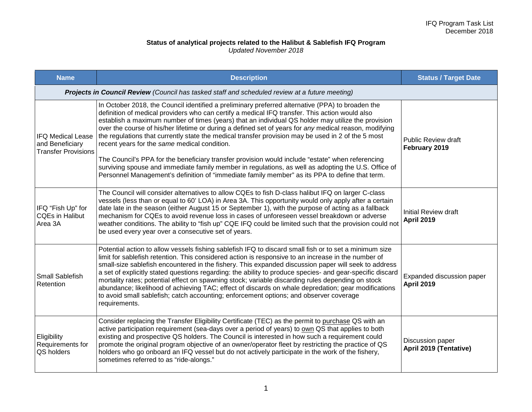## **Status of analytical projects related to the Halibut & Sablefish IFQ Program** *Updated November 2018*

| <b>Name</b>                                                                                    | <b>Description</b>                                                                                                                                                                                                                                                                                                                                                                                                                                                                                                                                                                                                                                                                                                                                                                                                                                                                    | <b>Status / Target Date</b>                    |  |
|------------------------------------------------------------------------------------------------|---------------------------------------------------------------------------------------------------------------------------------------------------------------------------------------------------------------------------------------------------------------------------------------------------------------------------------------------------------------------------------------------------------------------------------------------------------------------------------------------------------------------------------------------------------------------------------------------------------------------------------------------------------------------------------------------------------------------------------------------------------------------------------------------------------------------------------------------------------------------------------------|------------------------------------------------|--|
| Projects in Council Review (Council has tasked staff and scheduled review at a future meeting) |                                                                                                                                                                                                                                                                                                                                                                                                                                                                                                                                                                                                                                                                                                                                                                                                                                                                                       |                                                |  |
| <b>IFQ Medical Lease</b><br>and Beneficiary<br><b>Transfer Provisions</b>                      | In October 2018, the Council identified a preliminary preferred alternative (PPA) to broaden the<br>definition of medical providers who can certify a medical IFQ transfer. This action would also<br>establish a maximum number of times (years) that an individual QS holder may utilize the provision<br>over the course of his/her lifetime or during a defined set of years for any medical reason, modifying<br>the regulations that currently state the medical transfer provision may be used in 2 of the 5 most<br>recent years for the same medical condition.<br>The Council's PPA for the beneficiary transfer provision would include "estate" when referencing<br>surviving spouse and immediate family member in regulations, as well as adopting the U.S. Office of<br>Personnel Management's definition of "immediate family member" as its PPA to define that term. | <b>Public Review draft</b><br>February 2019    |  |
| IFQ "Fish Up" for<br><b>CQEs in Halibut</b><br>Area 3A                                         | The Council will consider alternatives to allow CQEs to fish D-class halibut IFQ on larger C-class<br>vessels (less than or equal to 60' LOA) in Area 3A. This opportunity would only apply after a certain<br>date late in the season (either August 15 or September 1), with the purpose of acting as a fallback<br>mechanism for CQEs to avoid revenue loss in cases of unforeseen vessel breakdown or adverse<br>weather conditions. The ability to "fish up" CQE IFQ could be limited such that the provision could not<br>be used every year over a consecutive set of years.                                                                                                                                                                                                                                                                                                   | Initial Review draft<br><b>April 2019</b>      |  |
| <b>Small Sablefish</b><br>Retention                                                            | Potential action to allow vessels fishing sablefish IFQ to discard small fish or to set a minimum size<br>limit for sablefish retention. This considered action is responsive to an increase in the number of<br>small-size sablefish encountered in the fishery. This expanded discussion paper will seek to address<br>a set of explicitly stated questions regarding: the ability to produce species- and gear-specific discard<br>mortality rates; potential effect on spawning stock; variable discarding rules depending on stock<br>abundance; likelihood of achieving TAC; effect of discards on whale depredation; gear modifications<br>to avoid small sablefish; catch accounting; enforcement options; and observer coverage<br>requirements.                                                                                                                             | Expanded discussion paper<br><b>April 2019</b> |  |
| Eligibility<br>Requirements for<br>QS holders                                                  | Consider replacing the Transfer Eligibility Certificate (TEC) as the permit to purchase QS with an<br>active participation requirement (sea-days over a period of years) to own QS that applies to both<br>existing and prospective QS holders. The Council is interested in how such a requirement could<br>promote the original program objective of an owner/operator fleet by restricting the practice of QS<br>holders who go onboard an IFQ vessel but do not actively participate in the work of the fishery,<br>sometimes referred to as "ride-alongs."                                                                                                                                                                                                                                                                                                                       | Discussion paper<br>April 2019 (Tentative)     |  |